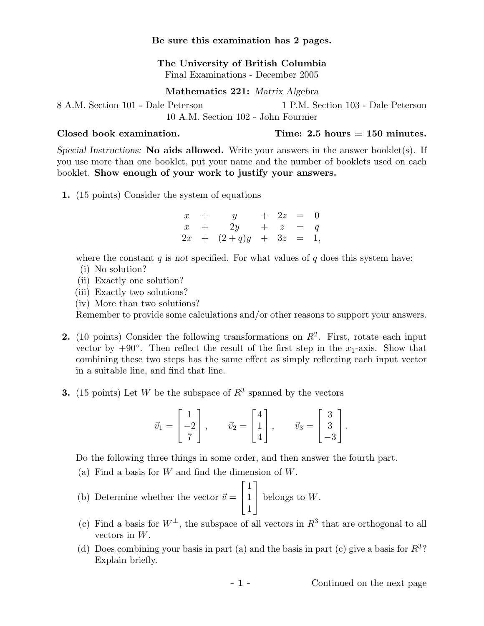## Be sure this examination has 2 pages.

The University of British Columbia Final Examinations - December 2005

Mathematics 221: Matrix Algebra

8 A.M. Section 101 - Dale Peterson 1 P.M. Section 103 - Dale Peterson 10 A.M. Section 102 - John Fournier

 $\text{Closed book examination.}$  Time: 2.5 hours = 150 minutes.

Special Instructions: No aids allowed. Write your answers in the answer booklet(s). If you use more than one booklet, put your name and the number of booklets used on each booklet. Show enough of your work to justify your answers.

1. (15 points) Consider the system of equations

 $x + y + 2z = 0$  $x + 2y + z = q$  $2x + (2+q)y + 3z = 1$ ,

where the constant  $q$  is not specified. For what values of  $q$  does this system have:

- (i) No solution?
- (ii) Exactly one solution?
- (iii) Exactly two solutions?
- (iv) More than two solutions?

Remember to provide some calculations and/or other reasons to support your answers.

- 2. (10 points) Consider the following transformations on  $R^2$ . First, rotate each input vector by  $+90°$ . Then reflect the result of the first step in the  $x_1$ -axis. Show that combining these two steps has the same effect as simply reflecting each input vector in a suitable line, and find that line.
- **3.** (15 points) Let W be the subspace of  $R^3$  spanned by the vectors

$$
\vec{v}_1 = \begin{bmatrix} 1 \\ -2 \\ 7 \end{bmatrix}, \qquad \vec{v}_2 = \begin{bmatrix} 4 \\ 1 \\ 4 \end{bmatrix}, \qquad \vec{v}_3 = \begin{bmatrix} 3 \\ 3 \\ -3 \end{bmatrix}.
$$

Do the following three things in some order, and then answer the fourth part.

- (a) Find a basis for  $W$  and find the dimension of  $W$ . ..........<br>ר. ר
- (b) Determine whether the vector  $\vec{v} = \begin{bmatrix} \end{bmatrix}$ 1 1 1 belongs to  $W$ .
- (c) Find a basis for  $W^{\perp}$ , the subspace of all vectors in  $R^3$  that are orthogonal to all vectors in W.
- (d) Does combining your basis in part (a) and the basis in part (c) give a basis for  $R^3$ ? Explain briefly.